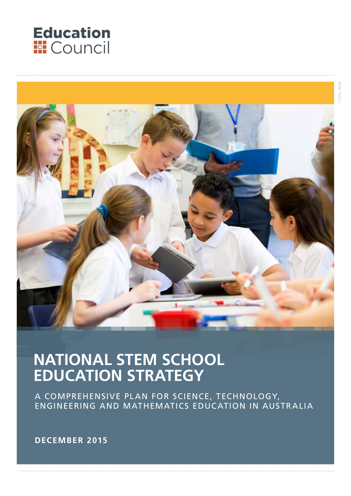



## **NATIONAL STEM SCHOOL EDUCATION STRATEGY**

A COMPREHENSIVE PLAN FOR SCIENCE, TECHNOLOGY, ENGINEERING AND MATHEMATICS EDUCATION IN AUSTRALIA

**DECEMBER 2015**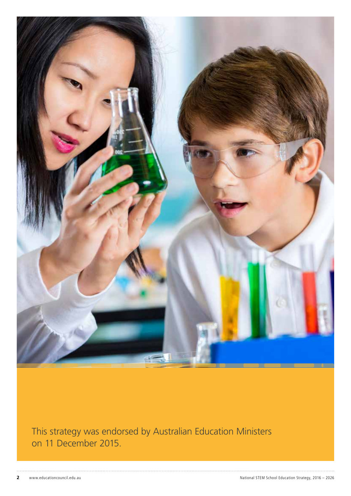

This strategy was endorsed by Australian Education Ministers on 11 December 2015.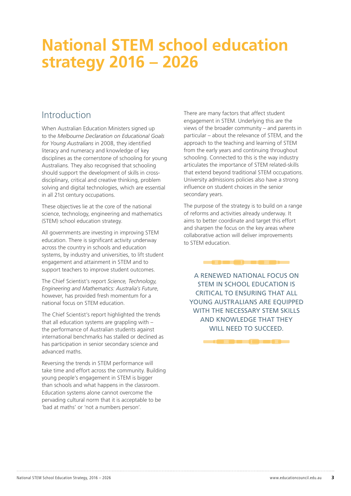## **National STEM school education strategy 2016 – 2026**

#### Introduction

When Australian Education Ministers signed up to the *Melbourne Declaration on Educational Goals for Young Australians* in 2008, they identified literacy and numeracy and knowledge of key disciplines as the cornerstone of schooling for young Australians. They also recognised that schooling should support the development of skills in crossdisciplinary, critical and creative thinking, problem solving and digital technologies, which are essential in all 21st century occupations.

These objectives lie at the core of the national science, technology, engineering and mathematics (STEM) school education strategy.

All governments are investing in improving STEM education. There is significant activity underway across the country in schools and education systems, by industry and universities, to lift student engagement and attainment in STEM and to support teachers to improve student outcomes.

The Chief Scientist's report *Science, Technology, Engineering and Mathematics: Australia's Future*, however, has provided fresh momentum for a national focus on STEM education.

The Chief Scientist's report highlighted the trends that all education systems are grappling with – the performance of Australian students against international benchmarks has stalled or declined as has participation in senior secondary science and advanced maths.

Reversing the trends in STEM performance will take time and effort across the community. Building young people's engagement in STEM is bigger than schools and what happens in the classroom. Education systems alone cannot overcome the pervading cultural norm that it is acceptable to be 'bad at maths' or 'not a numbers person'.

There are many factors that affect student engagement in STEM. Underlying this are the views of the broader community – and parents in particular – about the relevance of STEM, and the approach to the teaching and learning of STEM from the early years and continuing throughout schooling. Connected to this is the way industry articulates the importance of STEM related-skills that extend beyond traditional STEM occupations. University admissions policies also have a strong influence on student choices in the senior secondary years.

The purpose of the strategy is to build on a range of reforms and activities already underway. It aims to better coordinate and target this effort and sharpen the focus on the key areas where collaborative action will deliver improvements to STEM education.

A RENEWED NATIONAL FOCUS ON STEM IN SCHOOL EDUCATION IS CRITICAL TO ENSURING THAT ALL YOUNG AUSTRALIANS ARE EOUIPPED WITH THE NECESSARY STEM SKILLS AND KNOWLEDGE THAT THEY WILL NEED TO SUCCEED.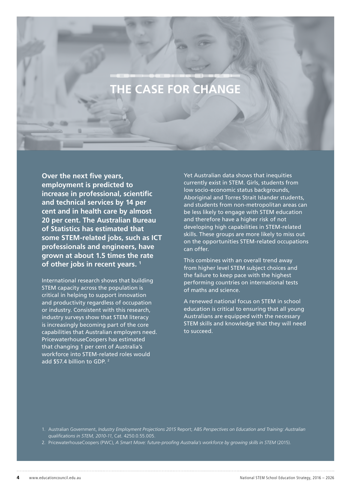## **CASE FOR CHANGE**

**Over the next five years, employment is predicted to increase in professional, scientific and technical services by 14 per cent and in health care by almost 20 per cent. The Australian Bureau of Statistics has estimated that some STEM-related jobs, such as ICT professionals and engineers, have grown at about 1.5 times the rate of other jobs in recent years. 1**

International research shows that building STEM capacity across the population is critical in helping to support innovation and productivity regardless of occupation or industry. Consistent with this research, industry surveys show that STEM literacy is increasingly becoming part of the core capabilities that Australian employers need. PricewaterhouseCoopers has estimated that changing 1 per cent of Australia's workforce into STEM-related roles would add \$57.4 billion to GDP. 2

Yet Australian data shows that inequities currently exist in STEM. Girls, students from low socio-economic status backgrounds, Aboriginal and Torres Strait Islander students, and students from non-metropolitan areas can be less likely to engage with STEM education and therefore have a higher risk of not developing high capabilities in STEM-related skills. These groups are more likely to miss out on the opportunities STEM-related occupations can offer.

This combines with an overall trend away from higher level STEM subject choices and the failure to keep pace with the highest performing countries on international tests of maths and science.

A renewed national focus on STEM in school education is critical to ensuring that all young Australians are equipped with the necessary STEM skills and knowledge that they will need to succeed.

1. Australian Government, *Industry Employment Projections 2015* Report; ABS *Perspectives on Education and Training: Australian qualifications in STEM, 2010-11*, Cat. 4250.0.55.005.

2. PricewaterhouseCoopers (PWC), *A Smart Move: future-proofing Australia's workforce by growing skills in STEM* (2015).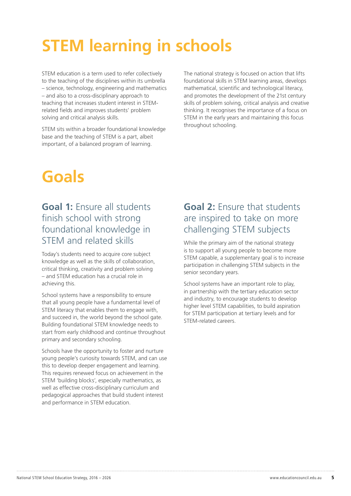# **STEM learning in schools**

STEM education is a term used to refer collectively to the teaching of the disciplines within its umbrella – science, technology, engineering and mathematics – and also to a cross-disciplinary approach to teaching that increases student interest in STEMrelated fields and improves students' problem solving and critical analysis skills.

STEM sits within a broader foundational knowledge base and the teaching of STEM is a part, albeit important, of a balanced program of learning.

The national strategy is focused on action that lifts foundational skills in STEM learning areas, develops mathematical, scientific and technological literacy, and promotes the development of the 21st century skills of problem solving, critical analysis and creative thinking. It recognises the importance of a focus on STEM in the early years and maintaining this focus throughout schooling.

# **Goals**

## **Goal 1:** Ensure all students finish school with strong foundational knowledge in STEM and related skills

Today's students need to acquire core subject knowledge as well as the skills of collaboration, critical thinking, creativity and problem solving – and STEM education has a crucial role in achieving this.

School systems have a responsibility to ensure that all young people have a fundamental level of STEM literacy that enables them to engage with, and succeed in, the world beyond the school gate. Building foundational STEM knowledge needs to start from early childhood and continue throughout primary and secondary schooling.

Schools have the opportunity to foster and nurture young people's curiosity towards STEM, and can use this to develop deeper engagement and learning. This requires renewed focus on achievement in the STEM 'building blocks', especially mathematics, as well as effective cross-disciplinary curriculum and pedagogical approaches that build student interest and performance in STEM education.

## **Goal 2:** Ensure that students are inspired to take on more challenging STEM subjects

While the primary aim of the national strategy is to support all young people to become more STEM capable, a supplementary goal is to increase participation in challenging STEM subjects in the senior secondary years.

School systems have an important role to play, in partnership with the tertiary education sector and industry, to encourage students to develop higher level STEM capabilities, to build aspiration for STEM participation at tertiary levels and for STEM-related careers.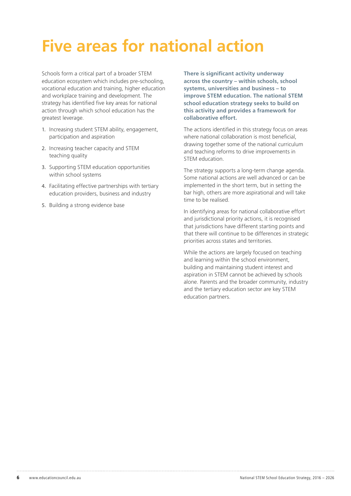# **Five areas for national action**

Schools form a critical part of a broader STEM education ecosystem which includes pre-schooling, vocational education and training, higher education and workplace training and development. The strategy has identified five key areas for national action through which school education has the greatest leverage.

- 1. Increasing student STEM ability, engagement, participation and aspiration
- 2. Increasing teacher capacity and STEM teaching quality
- 3. Supporting STEM education opportunities within school systems
- 4. Facilitating effective partnerships with tertiary education providers, business and industry
- 5. Building a strong evidence base

**There is significant activity underway across the country – within schools, school systems, universities and business – to improve STEM education. The national STEM school education strategy seeks to build on this activity and provides a framework for collaborative effort.**

The actions identified in this strategy focus on areas where national collaboration is most beneficial, drawing together some of the national curriculum and teaching reforms to drive improvements in STEM education.

The strategy supports a long-term change agenda. Some national actions are well advanced or can be implemented in the short term, but in setting the bar high, others are more aspirational and will take time to be realised.

In identifying areas for national collaborative effort and jurisdictional priority actions, it is recognised that jurisdictions have different starting points and that there will continue to be differences in strategic priorities across states and territories.

While the actions are largely focused on teaching and learning within the school environment, building and maintaining student interest and aspiration in STEM cannot be achieved by schools alone. Parents and the broader community, industry and the tertiary education sector are key STEM education partners.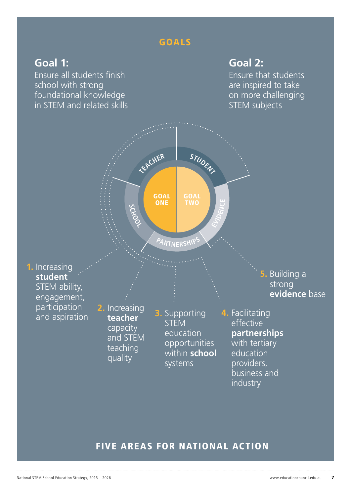## GOALS

## **Goal 1:**

Ensure all students finish school with strong foundational knowledge in STEM and related skills

## **Goal 2:**

Ensure that students are inspired to take on more challenging STEM subjects



#### FIVE AREAS FOR NATIONAL ACTION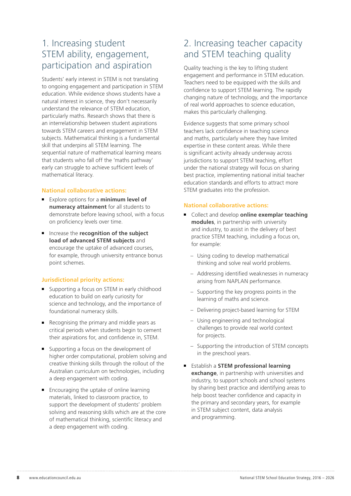### 1. Increasing student STEM ability, engagement, participation and aspiration

Students' early interest in STEM is not translating to ongoing engagement and participation in STEM education. While evidence shows students have a natural interest in science, they don't necessarily understand the relevance of STEM education, particularly maths. Research shows that there is an interrelationship between student aspirations towards STEM careers and engagement in STEM subjects. Mathematical thinking is a fundamental skill that underpins all STEM learning. The sequential nature of mathematical learning means that students who fall off the 'maths pathway' early can struggle to achieve sufficient levels of mathematical literacy.

#### **National collaborative actions:**

- Explore options for a **minimum level of numeracy attainment** for all students to demonstrate before leaving school, with a focus on proficiency levels over time.
- Increase the **recognition of the subject load of advanced STEM subjects** and encourage the uptake of advanced courses, for example, through university entrance bonus point schemes.

#### **Jurisdictional priority actions:**

- Supporting a focus on STEM in early childhood education to build on early curiosity for science and technology, and the importance of foundational numeracy skills.
- Recognising the primary and middle years as critical periods when students begin to cement their aspirations for, and confidence in, STEM.
- Supporting a focus on the development of higher order computational, problem solving and creative thinking skills through the rollout of the Australian curriculum on technologies, including a deep engagement with coding.
- Encouraging the uptake of online learning materials, linked to classroom practice, to support the development of students' problem solving and reasoning skills which are at the core of mathematical thinking, scientific literacy and a deep engagement with coding.

## 2. Increasing teacher capacity and STEM teaching quality

Quality teaching is the key to lifting student engagement and performance in STEM education. Teachers need to be equipped with the skills and confidence to support STEM learning. The rapidly changing nature of technology, and the importance of real world approaches to science education, makes this particularly challenging.

Evidence suggests that some primary school teachers lack confidence in teaching science and maths, particularly where they have limited expertise in these content areas. While there is significant activity already underway across jurisdictions to support STEM teaching, effort under the national strategy will focus on sharing best practice, implementing national initial teacher education standards and efforts to attract more STEM graduates into the profession.

#### **National collaborative actions:**

- Collect and develop **online exemplar teaching modules**, in partnership with university and industry, to assist in the delivery of best practice STEM teaching, including a focus on, for example:
	- Using coding to develop mathematical thinking and solve real world problems.
	- Addressing identified weaknesses in numeracy arising from NAPLAN performance.
	- Supporting the key progress points in the learning of maths and science.
	- Delivering project-based learning for STEM
	- Using engineering and technological challenges to provide real world context for projects.
	- Supporting the introduction of STEM concepts in the preschool years.
- Establish a **STEM professional learning exchange**, in partnership with universities and industry, to support schools and school systems by sharing best practice and identifying areas to help boost teacher confidence and capacity in the primary and secondary years, for example in STEM subject content, data analysis and programming.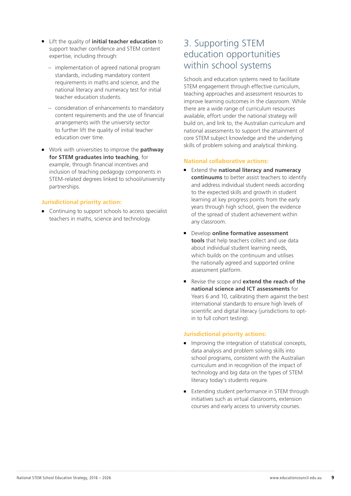- Lift the quality of **initial teacher education** to support teacher confidence and STEM content expertise, including through:
	- implementation of agreed national program standards, including mandatory content requirements in maths and science, and the national literacy and numeracy test for initial teacher education students.
	- consideration of enhancements to mandatory content requirements and the use of financial arrangements with the university sector to further lift the quality of initial teacher education over time.
- Work with universities to improve the **pathway for STEM graduates into teaching**, for example, through financial incentives and inclusion of teaching pedagogy components in STEM-related degrees linked to school/university partnerships.

#### **Jurisdictional priority action:**

■ Continuing to support schools to access specialist teachers in maths, science and technology.

#### 3. Supporting STEM education opportunities within school systems

Schools and education systems need to facilitate STEM engagement through effective curriculum, teaching approaches and assessment resources to improve learning outcomes in the classroom. While there are a wide range of curriculum resources available, effort under the national strategy will build on, and link to, the Australian curriculum and national assessments to support the attainment of core STEM subject knowledge and the underlying skills of problem solving and analytical thinking.

#### **National collaborative actions:**

- Extend the **national literacy and numeracy continuums** to better assist teachers to identify and address individual student needs according to the expected skills and growth in student learning at key progress points from the early years through high school, given the evidence of the spread of student achievement within any classroom.
- Develop **online formative assessment tools** that help teachers collect and use data about individual student learning needs, which builds on the continuum and utilises the nationally agreed and supported online assessment platform.
- Revise the scope and **extend the reach of the national science and ICT assessments** for Years 6 and 10, calibrating them against the best international standards to ensure high levels of scientific and digital literacy (jurisdictions to optin to full cohort testing).

#### **Jurisdictional priority actions:**

- Improving the integration of statistical concepts, data analysis and problem solving skills into school programs, consistent with the Australian curriculum and in recognition of the impact of technology and big data on the types of STEM literacy today's students require.
- Extending student performance in STEM through initiatives such as virtual classrooms, extension courses and early access to university courses.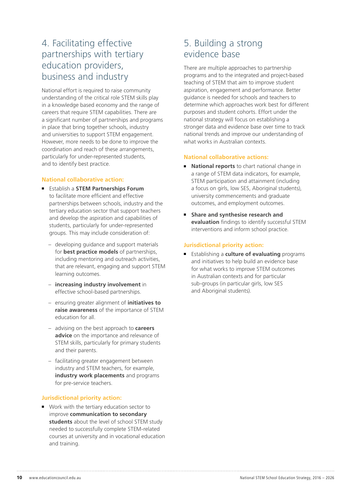## 4. Facilitating effective partnerships with tertiary education providers, business and industry

National effort is required to raise community understanding of the critical role STEM skills play in a knowledge based economy and the range of careers that require STEM capabilities. There are a significant number of partnerships and programs in place that bring together schools, industry and universities to support STEM engagement. However, more needs to be done to improve the coordination and reach of these arrangements, particularly for under-represented students, and to identify best practice.

#### **National collaborative action:**

- Establish a **STEM Partnerships Forum** to facilitate more efficient and effective partnerships between schools, industry and the tertiary education sector that support teachers and develop the aspiration and capabilities of students, particularly for under-represented groups. This may include consideration of:
	- developing guidance and support materials for **best practice models** of partnerships, including mentoring and outreach activities, that are relevant, engaging and support STEM learning outcomes.
	- **increasing industry involvement** in effective school-based partnerships.
	- ensuring greater alignment of **initiatives to raise awareness** of the importance of STEM education for all.
	- advising on the best approach to **careers advice** on the importance and relevance of STEM skills, particularly for primary students and their parents.
	- facilitating greater engagement between industry and STEM teachers, for example, **industry work placements** and programs for pre-service teachers.

#### **Jurisdictional priority action:**

■ Work with the tertiary education sector to improve **communication to secondary students** about the level of school STEM study needed to successfully complete STEM-related courses at university and in vocational education and training.

### 5. Building a strong evidence base

There are multiple approaches to partnership programs and to the integrated and project-based teaching of STEM that aim to improve student aspiration, engagement and performance. Better guidance is needed for schools and teachers to determine which approaches work best for different purposes and student cohorts. Effort under the national strategy will focus on establishing a stronger data and evidence base over time to track national trends and improve our understanding of what works in Australian contexts.

#### **National collaborative actions:**

- **National reports** to chart national change in a range of STEM data indicators, for example, STEM participation and attainment (including a focus on girls, low SES, Aboriginal students), university commencements and graduate outcomes, and employment outcomes.
- **Share and synthesise research and evaluation** findings to identify successful STEM interventions and inform school practice.

#### **Jurisdictional priority action:**

■ Establishing a **culture of evaluating** programs and initiatives to help build an evidence base for what works to improve STEM outcomes in Australian contexts and for particular sub-groups (in particular girls, low SES and Aboriginal students).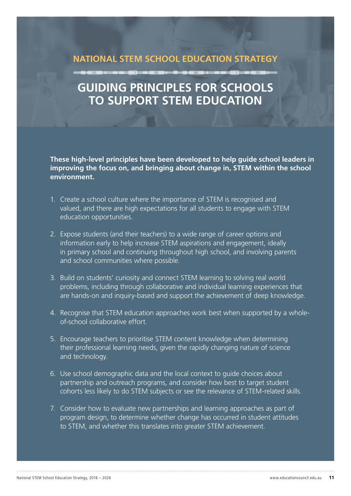### **NATIONAL STEM SCHOOL EDUCATION STRATEGY**

## **GUIDING PRINCIPLES FOR SCHOOLS TO SUPPORT STEM EDUCATION**

**These high-level principles have been developed to help guide school leaders in improving the focus on, and bringing about change in, STEM within the school environment.** 

- 1. Create a school culture where the importance of STEM is recognised and valued, and there are high expectations for all students to engage with STEM education opportunities.
- 2. Expose students (and their teachers) to a wide range of career options and information early to help increase STEM aspirations and engagement, ideally in primary school and continuing throughout high school, and involving parents and school communities where possible.
- 3. Build on students' curiosity and connect STEM learning to solving real world problems, including through collaborative and individual learning experiences that are hands-on and inquiry-based and support the achievement of deep knowledge.
- 4. Recognise that STEM education approaches work best when supported by a wholeof-school collaborative effort.
- 5. Encourage teachers to prioritise STEM content knowledge when determining their professional learning needs, given the rapidly changing nature of science and technology.
- 6. Use school demographic data and the local context to guide choices about partnership and outreach programs, and consider how best to target student cohorts less likely to do STEM subjects or see the relevance of STEM-related skills.
- 7. Consider how to evaluate new partnerships and learning approaches as part of program design, to determine whether change has occurred in student attitudes to STEM, and whether this translates into greater STEM achievement.